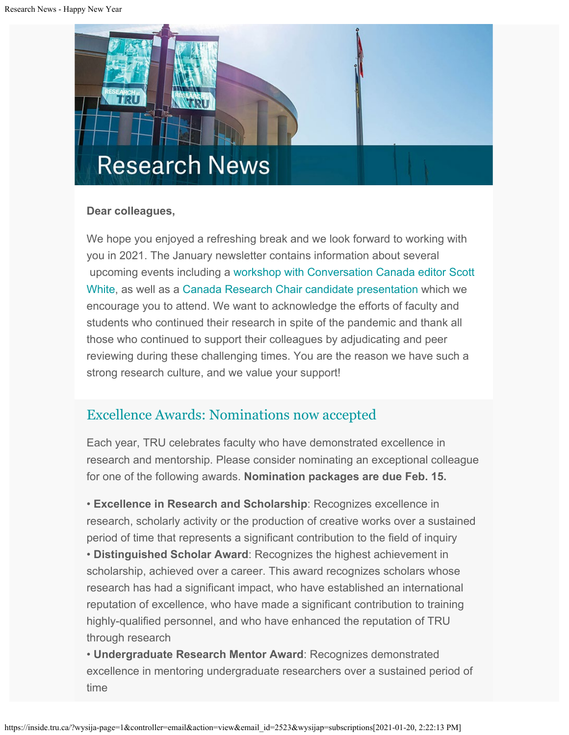

## **Dear colleagues,**

We hope you enjoyed a refreshing break and we look forward to working with you in 2021. The January newsletter contains information about several upcoming events including a [workshop with Conversation Canada editor Scott](https://inside.tru.ca/events/event/writing-for-the-conversation-canada-workshop-with-editor-scott-white/) [White](https://inside.tru.ca/events/event/writing-for-the-conversation-canada-workshop-with-editor-scott-white/), as well as a [Canada Research Chair candidate presentation](https://inside.tru.ca/events/event/canada-research-chair-candidate-presentation/) which we encourage you to attend. We want to acknowledge the efforts of faculty and students who continued their research in spite of the pandemic and thank all those who continued to support their colleagues by adjudicating and peer reviewing during these challenging times. You are the reason we have such a strong research culture, and we value your support!

## [Excellence Awards: Nominations now accepted](https://www.tru.ca/research/research-services/research-services-faculty/research-awards.html)

Each year, TRU celebrates faculty who have demonstrated excellence in research and mentorship. Please consider nominating an exceptional colleague for one of the following awards. **Nomination packages are due Feb. 15.**

• **Excellence in Research and Scholarship**: Recognizes excellence in research, scholarly activity or the production of creative works over a sustained period of time that represents a significant contribution to the field of inquiry • **Distinguished Scholar Award**: Recognizes the highest achievement in scholarship, achieved over a career. This award recognizes scholars whose research has had a significant impact, who have established an international reputation of excellence, who have made a significant contribution to training highly-qualified personnel, and who have enhanced the reputation of TRU through research

• **Undergraduate Research Mentor Award**: Recognizes demonstrated excellence in mentoring undergraduate researchers over a sustained period of time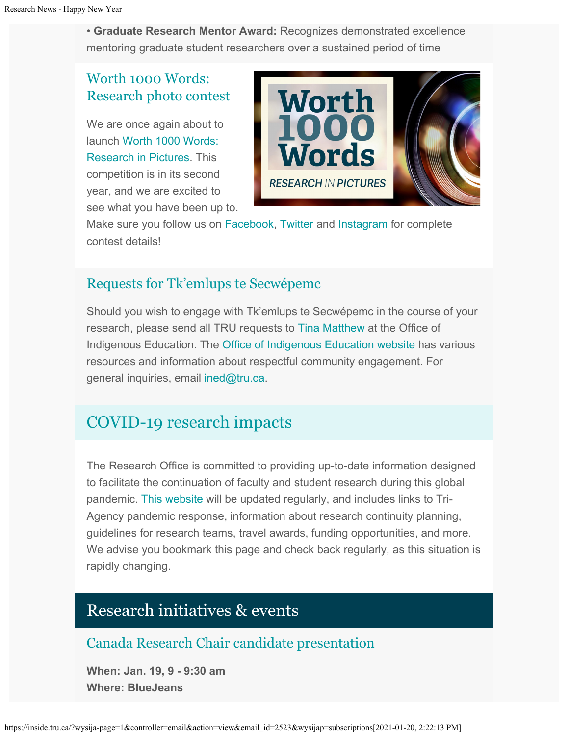• **Graduate Research Mentor Award:** Recognizes demonstrated excellence mentoring graduate student researchers over a sustained period of time

## [Worth 1000 Words:](https://www.tru.ca/research/research-week/research-in-pictures.html) [Research photo contest](https://www.tru.ca/research/research-week/research-in-pictures.html)

We are once again about to launch [Worth 1000 Words:](https://www.tru.ca/research/research-week/research-in-pictures.html) [Research in Pictures](https://www.tru.ca/research/research-week/research-in-pictures.html). This competition is in its second year, and we are excited to see what you have been up to.



Make sure you follow us on [Facebook,](https://www.facebook.com/TRUResearch) [Twitter](https://twitter.com/TRUResearch) and [Instagram](https://www.instagram.com/trustudentresearch/) for complete contest details!

## Requests for [Tk'emlups te Secwépemc](https://www.tru.ca/indigenous/indigenous-education-team.html)

Should you wish to engage with Tk'emlups te Secwépemc in the course of your research, please send all TRU requests to [Tina Matthew](mailto:tmatthew@tru.ca) at the Office of Indigenous Education. The [Office of Indigenous Education website](http://inside.tru.ca/?email_id=2493&user_id=133158&urlpassed=aHR0cHM6Ly93d3cudHJ1LmNhL2luZGlnZW5vdXMvaW5kaWdlbm91cy1lZHVjYXRpb24tdGVhbS5odG1s&controller=stats&action=analyse&wysija-page=1&wysijap=subscriptions) has various resources and information about respectful community engagement. For general inquiries, email [ined@tru.ca](mailto:ined@tru.ca).

# [COVID-19 research impacts](https://www.tru.ca/research/covid-19-research-impacts.html)

The Research Office is committed to providing up-to-date information designed to facilitate the continuation of faculty and student research during this global pandemic. [This website](https://www.tru.ca/research/covid-19-research-impacts.html) will be updated regularly, and includes links to Tri-Agency pandemic response, information about research continuity planning, guidelines for research teams, travel awards, funding opportunities, and more. We advise you bookmark this page and check back regularly, as this situation is rapidly changing.

# Research initiatives & events

## [Canada Research Chair candidate presentation](http://inside.tru.ca/events/event/canada-research-chair-candidate-presentation/)

**When: Jan. 19, 9 - 9:30 am Where: BlueJeans**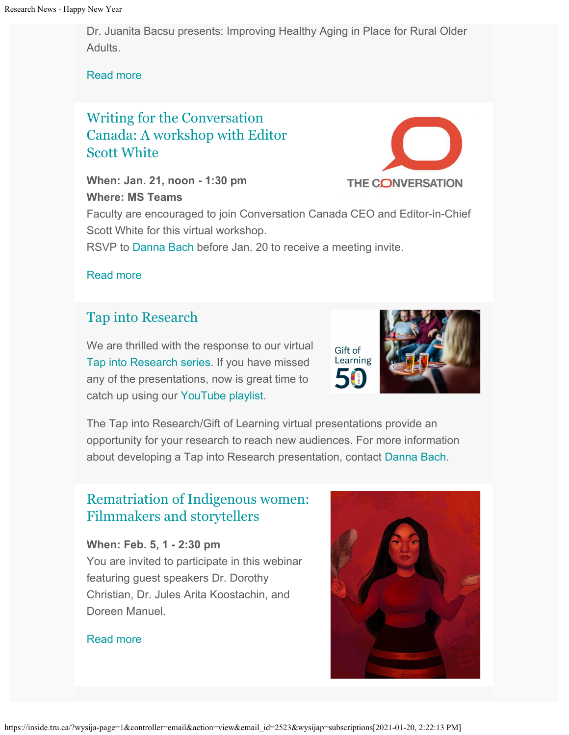Dr. Juanita Bacsu presents: Improving Healthy Aging in Place for Rural Older Adults.

[Read more](http://inside.tru.ca/events/event/canada-research-chair-candidate-presentation/)

## [Writing for the Conversation](http://inside.tru.ca/events/event/writing-for-the-conversation-canada-workshop-with-editor-scott-white/) [Canada: A workshop with Editor](http://inside.tru.ca/events/event/writing-for-the-conversation-canada-workshop-with-editor-scott-white/) [Scott White](http://inside.tru.ca/events/event/writing-for-the-conversation-canada-workshop-with-editor-scott-white/)

**When: Jan. 21, noon - 1:30 pm Where: MS Teams**



Faculty are encouraged to join Conversation Canada CEO and Editor-in-Chief Scott White for this virtual workshop.

RSVP to [Danna Bach](mailto:dbach@tru.ca) before Jan. 20 to receive a meeting invite.

[Read more](http://inside.tru.ca/events/event/writing-for-the-conversation-canada-workshop-with-editor-scott-white/)

## [Tap into Research](https://www.youtube.com/playlist?list=PLXEEh1_dKU0V8KtyuyQk_6Ycu5gEyZu3q)

We are thrilled with the response to our virtual [Tap into Research series](https://www.youtube.com/playlist?list=PLXEEh1_dKU0V8KtyuyQk_6Ycu5gEyZu3q). If you have missed any of the presentations, now is great time to catch up using our [YouTube playlist.](https://www.youtube.com/playlist?list=PLXEEh1_dKU0V8KtyuyQk_6Ycu5gEyZu3q)

Gift of Learning

The Tap into Research/Gift of Learning virtual presentations provide an opportunity for your research to reach new audiences. For more information about developing a Tap into Research presentation, contact [Danna Bach](mailto:dbach@tru.ca).

## [Rematriation of Indigenous women:](http://inside.tru.ca/events/event/rematriation-of-indigenous-women-filmmakers-and-storytellers/) [Filmmakers and storytellers](http://inside.tru.ca/events/event/rematriation-of-indigenous-women-filmmakers-and-storytellers/)

**When: Feb. 5, 1 - 2:30 pm** You are invited to participate in this webinar featuring guest speakers Dr. Dorothy Christian, Dr. Jules Arita Koostachin, and Doreen Manuel.

### [Read more](http://inside.tru.ca/events/event/rematriation-of-indigenous-women-filmmakers-and-storytellers/)

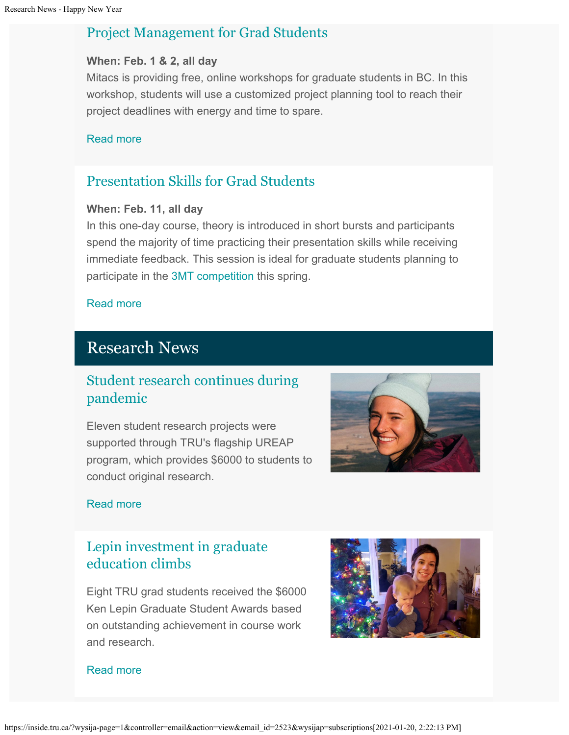## [Project Management for Grad Students](http://inside.tru.ca/events/event/project-management-for-grad-students-3/)

#### **When: Feb. 1 & 2, all day**

Mitacs is providing free, online workshops for graduate students in BC. In this workshop, students will use a customized project planning tool to reach their project deadlines with energy and time to spare.

#### [Read more](http://inside.tru.ca/events/event/project-management-for-grad-students-3/)

## [Presentation Skills for Grad Students](https://inside.tru.ca/events/event/presentation-skills-for-grad-students/)

#### **When: Feb. 11, all day**

In this one-day course, theory is introduced in short bursts and participants spend the majority of time practicing their presentation skills while receiving immediate feedback. This session is ideal for graduate students planning to participate in the [3MT competition](https://www.tru.ca/research/research-week/3mt.html) this spring.

#### [Read more](http://inside.tru.ca/events/event/presentation-skills-for-grad-students/)

## Research News

## [Student research continues during](http://inside.tru.ca/2020/12/17/student-research-continues-during-pandemic/) [pandemic](http://inside.tru.ca/2020/12/17/student-research-continues-during-pandemic/)

Eleven student research projects were supported through TRU's flagship UREAP program, which provides \$6000 to students to conduct original research.



#### [Read more](http://inside.tru.ca/2020/12/17/student-research-continues-during-pandemic/)

## [Lepin investment in graduate](http://inside.tru.ca/2020/12/14/lepin-investment-in-graduate-education-climbs/) [education climbs](http://inside.tru.ca/2020/12/14/lepin-investment-in-graduate-education-climbs/)

Eight TRU grad students received the \$6000 Ken Lepin Graduate Student Awards based on outstanding achievement in course work and research.



#### [Read more](http://inside.tru.ca/2020/12/14/lepin-investment-in-graduate-education-climbs/)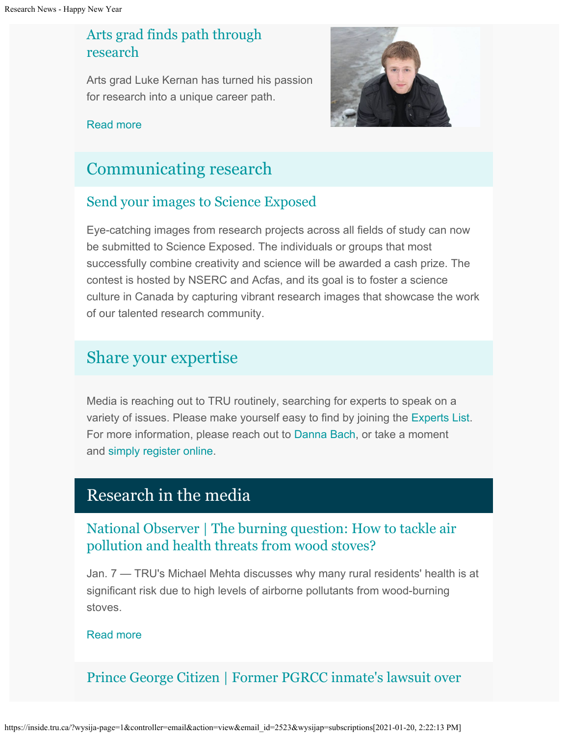## [Arts grad finds path through](http://inside.tru.ca/2021/01/04/arts-grad-finds-path-through-research/) [research](http://inside.tru.ca/2021/01/04/arts-grad-finds-path-through-research/)

Arts grad Luke Kernan has turned his passion for research into a unique career path.



### [Read more](http://inside.tru.ca/2021/01/04/arts-grad-finds-path-through-research/)

# [Communicating research](https://inside.tru.ca/tru.ca/experts)

## [Send your images to Science Exposed](https://www.nserc-crsng.gc.ca/ScienceExposed-PreuveParLimage/how_do_i_win-comment_gagner_eng.asp)

Eye-catching images from research projects across all fields of study can now be submitted to Science Exposed. The individuals or groups that most successfully combine creativity and science will be awarded a cash prize. The contest is hosted by NSERC and Acfas, and its goal is to foster a science culture in Canada by capturing vibrant research images that showcase the work of our talented research community.

# [Share your expertise](https://inside.tru.ca/tru.ca/experts)

Media is reaching out to TRU routinely, searching for experts to speak on a variety of issues. Please make yourself easy to find by joining the [Experts List](https://inside.tru.ca/tru.ca/experts). For more information, please reach out to [Danna Bach](mailto:dbach@tru.ca), or take a moment and [simply register online.](https://inside.tru.ca/find-an-expert/experts-registration-update/)

## Research in the media

## [National Observer | The burning question: How to tackle air](http://inside.tru.ca/inthemedia/national-observer-the-burning-question-how-to-tackle-air-pollution-and-health-threats-from-wood-stoves/) [pollution and health threats from wood stoves?](http://inside.tru.ca/inthemedia/national-observer-the-burning-question-how-to-tackle-air-pollution-and-health-threats-from-wood-stoves/)

Jan. 7 — TRU's Michael Mehta discusses why many rural residents' health is at significant risk due to high levels of airborne pollutants from wood-burning stoves.

## [Read more](http://inside.tru.ca/inthemedia/national-observer-the-burning-question-how-to-tackle-air-pollution-and-health-threats-from-wood-stoves/)

## [Prince George Citizen | Former PGRCC inmate's lawsuit over](http://inside.tru.ca/inthemedia/prince-george-citizen-former-pgrcc-inmates-lawsuit-over-solitary-confinement-certified-as-a-class-action/)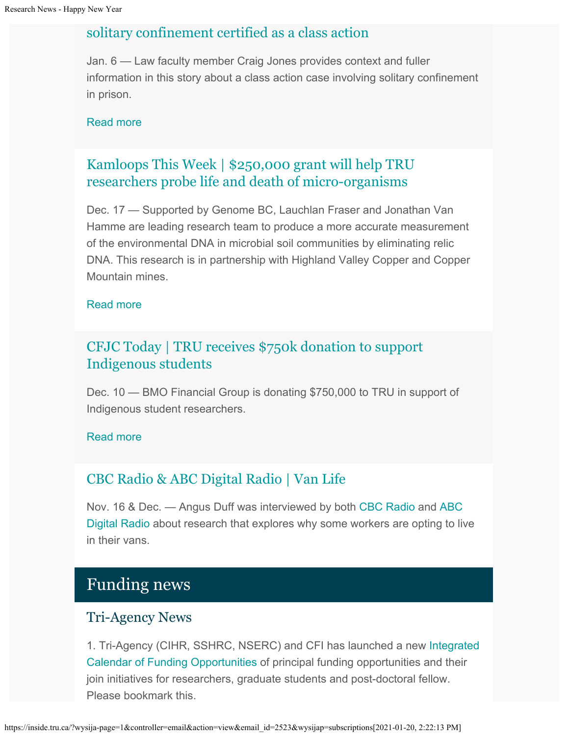## [solitary confinement certified as a class action](http://inside.tru.ca/inthemedia/prince-george-citizen-former-pgrcc-inmates-lawsuit-over-solitary-confinement-certified-as-a-class-action/)

Jan. 6 — Law faculty member Craig Jones provides context and fuller information in this story about a class action case involving solitary confinement in prison.

#### [Read more](http://inside.tru.ca/inthemedia/prince-george-citizen-former-pgrcc-inmates-lawsuit-over-solitary-confinement-certified-as-a-class-action/)

## [Kamloops This Week | \\$250,000 grant will help TRU](http://inside.tru.ca/inthemedia/kamloops-this-week-250000-grant-will-help-tru-researchers-probe-life-and-death-of-micro-organisms/) [researchers probe life and death of micro-organisms](http://inside.tru.ca/inthemedia/kamloops-this-week-250000-grant-will-help-tru-researchers-probe-life-and-death-of-micro-organisms/)

Dec. 17 — Supported by Genome BC, Lauchlan Fraser and Jonathan Van Hamme are leading research team to produce a more accurate measurement of the environmental DNA in microbial soil communities by eliminating relic DNA. This research is in partnership with Highland Valley Copper and Copper Mountain mines.

#### [Read more](http://inside.tru.ca/inthemedia/kamloops-this-week-250000-grant-will-help-tru-researchers-probe-life-and-death-of-micro-organisms/)

## [CFJC Today | TRU receives \\$750k donation to support](http://inside.tru.ca/inthemedia/cfjc-today-tru-receives-750k-donation-to-support-indigenous-students/) [Indigenous students](http://inside.tru.ca/inthemedia/cfjc-today-tru-receives-750k-donation-to-support-indigenous-students/)

Dec. 10 — BMO Financial Group is donating \$750,000 to TRU in support of Indigenous student researchers.

#### [Read more](http://inside.tru.ca/inthemedia/cfjc-today-tru-receives-750k-donation-to-support-indigenous-students/)

## [CBC Radio & ABC Digital Radio | Van Life](https://theconversation.com/why-some-workers-are-opting-to-live-in-their-vans-148961)

Nov. 16 & Dec. — Angus Duff was interviewed by both [CBC Radio](https://soundcloud.com/angus-duff-269312082/cbc-radios-shelley-joyce-interviews-dr-angus-duff-to-learn-about-workers-who-live-in-vans-nov-16-2020) and [ABC](https://soundcloud.com/angus-duff-269312082/abc-interview-on-van-life-dec-5-2020) [Digital Radio](https://soundcloud.com/angus-duff-269312082/abc-interview-on-van-life-dec-5-2020) about research that explores why some workers are opting to live in their vans.

# Funding news

### Tri-Agency News

1. Tri-Agency (CIHR, SSHRC, NSERC) and CFI has launched a new [Integrated](https://www.canada.ca/en/research-coordinating-committee/program-calendar.html) [Calendar of Funding Opportunities](https://www.canada.ca/en/research-coordinating-committee/program-calendar.html) of principal funding opportunities and their join initiatives for researchers, graduate students and post-doctoral fellow. Please bookmark this.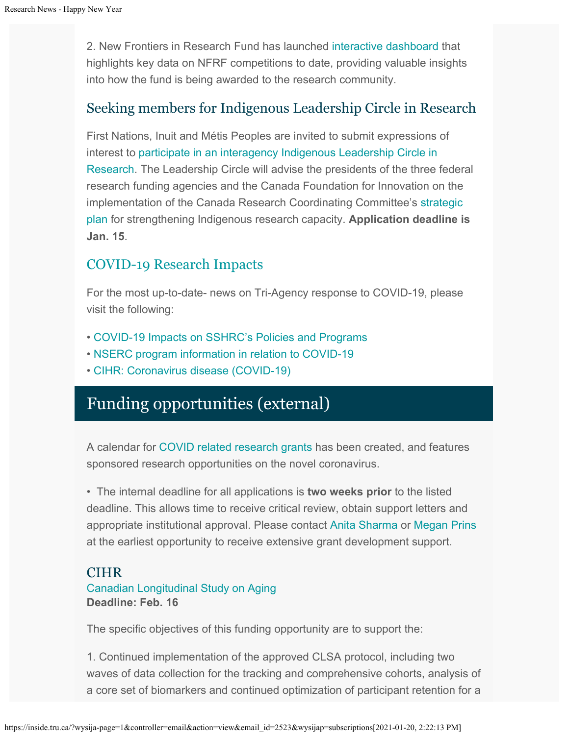2. New Frontiers in Research Fund has launched [interactive dashboard](c:%5C%5CUsers%5C%5Cansharma%5C%5CAppData%5C%5CLocal%5C%5CMicrosoft%5C%5CWindows%5C%5CINetCache%5C%5CContent.Outlook%5C%5CG79RX86A%5C%5CeyJrIjoiNTY3YjZhOGItNTYwMC00ZWFhLTk4NzQtM2EyYjg1MDkxMTZkIiwidCI6ImZiZWYwNzk4LTIwZTMtNGJlNy1iZGM4LTM3MjAzMjYxMGY2NSJ9) that highlights key data on NFRF competitions to date, providing valuable insights into how the fund is being awarded to the research community.

## Seeking members for Indigenous Leadership Circle in Research

First Nations, Inuit and Métis Peoples are invited to submit expressions of interest to [participate in an interagency Indigenous Leadership Circle in](https://www.sshrc-crsh.gc.ca/news_room-salle_de_presse/latest_news-nouvelles_recentes/2020/indigenous_leadership_circle_research-cercle_leadership_autochtone_recherche-eng.aspx) [Research](https://www.sshrc-crsh.gc.ca/news_room-salle_de_presse/latest_news-nouvelles_recentes/2020/indigenous_leadership_circle_research-cercle_leadership_autochtone_recherche-eng.aspx). The Leadership Circle will advise the presidents of the three federal research funding agencies and the Canada Foundation for Innovation on the implementation of the Canada Research Coordinating Committee's [strategic](https://www.canada.ca/en/research-coordinating-committee/priorities/indigenous-research/strategic-plan-2019-2022.html) [plan](https://www.canada.ca/en/research-coordinating-committee/priorities/indigenous-research/strategic-plan-2019-2022.html) for strengthening Indigenous research capacity. **Application deadline is Jan. 15**.

## [COVID-19 Research Impacts](https://tru.ca/research/covid-19-research-impacts.html)

For the most up-to-date- news on Tri-Agency response to COVID-19, please visit the following:

- [COVID-19 Impacts on SSHRC's Policies and Programs](https://www.sshrc-crsh.gc.ca/news_room-salle_de_presse/covid-19-eng.aspx)
- [NSERC program information in relation to COVID-19](https://www.nserc-crsng.gc.ca/Media-Media/NewsRelease-CommuniqueDePresse_eng.asp?ID=1139)
- [CIHR: Coronavirus disease \(COVID-19\)](https://cihr-irsc.gc.ca/e/51917.html)

# Funding opportunities (external)

A calendar for [COVID related research grants](https://www.tru.ca/research/research-services/research-services-faculty/faculty-research-funding/funding-deadlines.html) has been created, and features sponsored research opportunities on the novel coronavirus.

• The internal deadline for all applications is **two weeks prior** to the listed deadline. This allows time to receive critical review, obtain support letters and appropriate institutional approval. Please contact [Anita Sharma](mailto:ansharma@tru.ca) or [Megan Prins](mailto:mprins@tru.ca) at the earliest opportunity to receive extensive grant development support.

## CIHR

## [Canadian Longitudinal Study on Aging](https://www.researchnet-recherchenet.ca/rnr16/vwOpprtntyDtls.do?prog=3397&view=currentOpps&org=CIHR&type=EXACT&resultCount=25&sort=program&next=1&all=1&masterList=true) **Deadline: Feb. 16**

The specific objectives of this funding opportunity are to support the:

1. Continued implementation of the approved CLSA protocol, including two waves of data collection for the tracking and comprehensive cohorts, analysis of a core set of biomarkers and continued optimization of participant retention for a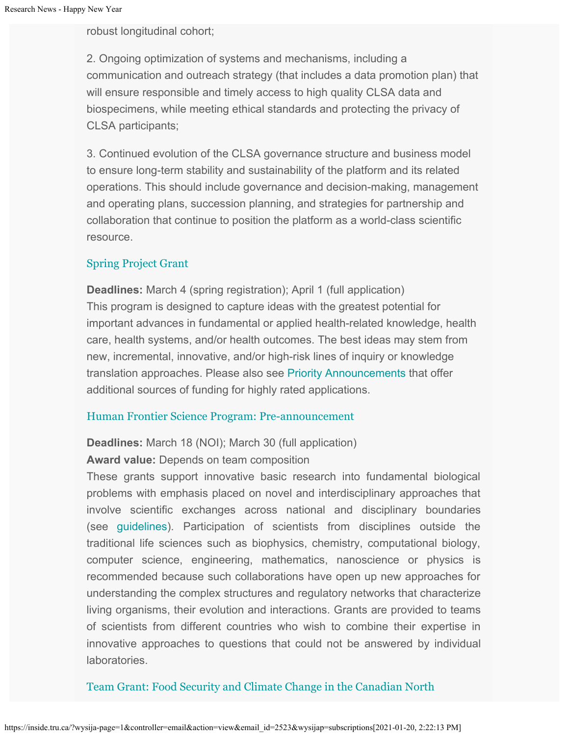robust longitudinal cohort;

2. Ongoing optimization of systems and mechanisms, including a communication and outreach strategy (that includes a data promotion plan) that will ensure responsible and timely access to high quality CLSA data and biospecimens, while meeting ethical standards and protecting the privacy of CLSA participants;

3. Continued evolution of the CLSA governance structure and business model to ensure long-term stability and sustainability of the platform and its related operations. This should include governance and decision-making, management and operating plans, succession planning, and strategies for partnership and collaboration that continue to position the platform as a world-class scientific resource.

### [Spring Project Grant](https://cihr-irsc.gc.ca/e/51996.html)

**Deadlines:** March 4 (spring registration); April 1 (full application) This program is designed to capture ideas with the greatest potential for important advances in fundamental or applied health-related knowledge, health care, health systems, and/or health outcomes. The best ideas may stem from new, incremental, innovative, and/or high-risk lines of inquiry or knowledge translation approaches. Please also see [Priority Announcements](https://www.researchnet-recherchenet.ca/rnr16/viewOpportunityDetails.do?progCd=11078&language=E&org=CIHR) that offer additional sources of funding for highly rated applications.

#### [Human Frontier Science Program: Pre-announcement](https://cihr-irsc.gc.ca/e/52257.html)

#### **Deadlines:** March 18 (NOI); March 30 (full application)

**Award value:** Depends on team composition

These grants support innovative basic research into fundamental biological problems with emphasis placed on novel and interdisciplinary approaches that involve scientific exchanges across national and disciplinary boundaries (see [guidelines\)](https://www.hfsp.org/sites/default/files/Sciences/Grants/LI%20Guidelines.pdf). Participation of scientists from disciplines outside the traditional life sciences such as biophysics, chemistry, computational biology, computer science, engineering, mathematics, nanoscience or physics is recommended because such collaborations have open up new approaches for understanding the complex structures and regulatory networks that characterize living organisms, their evolution and interactions. Grants are provided to teams of scientists from different countries who wish to combine their expertise in innovative approaches to questions that could not be answered by individual laboratories.

### [Team Grant: Food Security and Climate Change in the Canadian North](https://www.researchnet-recherchenet.ca/rnr16/vwOpprtntyDtls.do?prog=3269&view=search&launchMonth=2&launchYear=2020&type=EXACT&resultCount=25&next=1)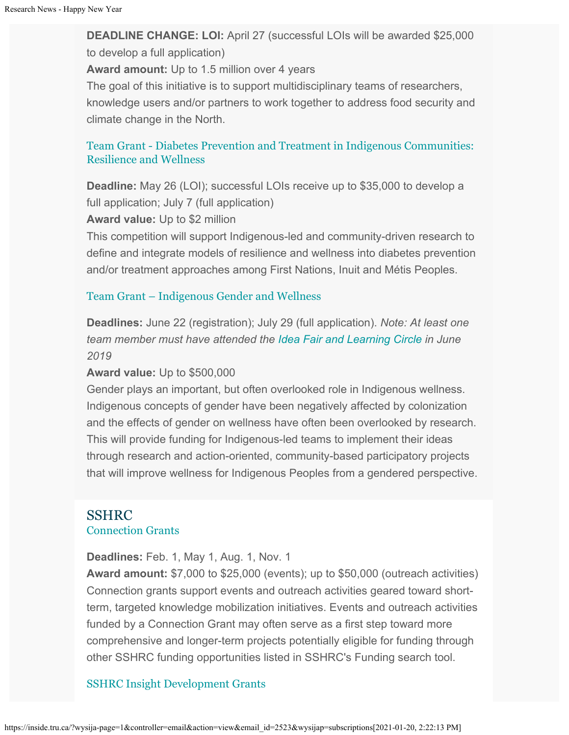**DEADLINE CHANGE: LOI:** April 27 (successful LOIs will be awarded \$25,000 to develop a full application)

**Award amount:** Up to 1.5 million over 4 years

The goal of this initiative is to support multidisciplinary teams of researchers, knowledge users and/or partners to work together to address food security and climate change in the North.

## [Team Grant - Diabetes Prevention and Treatment in Indigenous Communities:](https://www.researchnet-recherchenet.ca/rnr16/vwOpprtntyDtls.do?prog=3393&view=currentOpps&org=CIHR&type=EXACT&resultCount=25&sort=program&all=1&masterList=true) [Resilience and Wellness](https://www.researchnet-recherchenet.ca/rnr16/vwOpprtntyDtls.do?prog=3393&view=currentOpps&org=CIHR&type=EXACT&resultCount=25&sort=program&all=1&masterList=true)

**Deadline:** May 26 (LOI); successful LOIs receive up to \$35,000 to develop a full application; July 7 (full application)

**Award value:** Up to \$2 million

This competition will support Indigenous-led and community-driven research to define and integrate models of resilience and wellness into diabetes prevention and/or treatment approaches among First Nations, Inuit and Métis Peoples.

#### [Team Grant – Indigenous Gender and Wellness](https://www.researchnet-recherchenet.ca/rnr16/vwOpprtntyDtls.do?prog=3394&view=currentOpps&org=CIHR&type=EXACT&resultCount=25&sort=program&all=1&masterList=true)

**Deadlines:** June 22 (registration); July 29 (full application). *Note: At least one team member must have attended the [Idea Fair and Learning Circle](https://www.researchnet-recherchenet.ca/rnr16/vwOpprtntyDtls.do?prog=2924&view=currentOpps&type=EXACT&resultCount=25&sort=program&next=1&all=1&masterList=true) in June 2019*

#### **Award value:** Up to \$500,000

Gender plays an important, but often overlooked role in Indigenous wellness. Indigenous concepts of gender have been negatively affected by colonization and the effects of gender on wellness have often been overlooked by research. This will provide funding for Indigenous-led teams to implement their ideas through research and action-oriented, community-based participatory projects that will improve wellness for Indigenous Peoples from a gendered perspective.

## SSHRC [Connection Grants](http://www.sshrc-crsh.gc.ca/funding-financement/programs-programmes/connection_grants-subventions_connexion-eng.aspx)

**Deadlines:** Feb. 1, May 1, Aug. 1, Nov. 1

**Award amount:** \$7,000 to \$25,000 (events); up to \$50,000 (outreach activities) Connection grants support events and outreach activities geared toward shortterm, targeted knowledge mobilization initiatives. Events and outreach activities funded by a Connection Grant may often serve as a first step toward more comprehensive and longer-term projects potentially eligible for funding through other SSHRC funding opportunities listed in SSHRC's Funding search tool.

### [SSHRC Insight Development Grants](http://www.sshrc-crsh.gc.ca/funding-financement/programs-programmes/insight_development_grants-subventions_de_developpement_savoir-eng.aspx)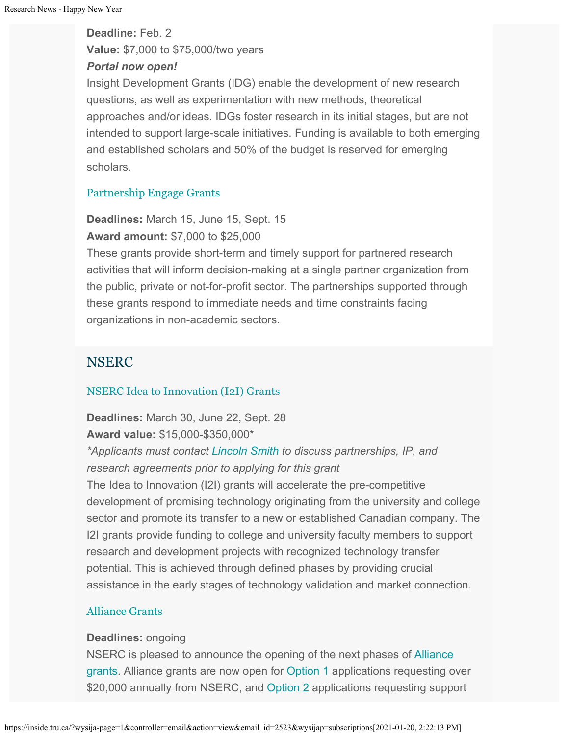**Deadline:** Feb. 2 **Value:** \$7,000 to \$75,000/two years *Portal now open!*

Insight Development Grants (IDG) enable the development of new research questions, as well as experimentation with new methods, theoretical approaches and/or ideas. IDGs foster research in its initial stages, but are not intended to support large-scale initiatives. Funding is available to both emerging and established scholars and 50% of the budget is reserved for emerging scholars.

## [Partnership Engage Grants](http://www.sshrc-crsh.gc.ca/funding-financement/programs-programmes/partnership_engage_grants-subventions_d_engagement_partenarial-eng.aspx)

**Deadlines:** March 15, June 15, Sept. 15 **Award amount:** \$7,000 to \$25,000

These grants provide short-term and timely support for partnered research activities that will inform decision-making at a single partner organization from the public, private or not-for-profit sector. The partnerships supported through these grants respond to immediate needs and time constraints facing organizations in non-academic sectors.

## NSERC

## [NSERC Idea to Innovation \(I2I\) Grants](https://www.nserc-crsng.gc.ca/Professors-Professeurs/RPP-PP/I2I-Innov_eng.asp)

**Deadlines:** March 30, June 22, Sept. 28 **Award value:** \$15,000-\$350,000\*

*\*Applicants must contact [Lincoln Smith](mailto:lsmith@tru.ca) to discuss partnerships, IP, and research agreements prior to applying for this grant*

The Idea to Innovation (I2I) grants will accelerate the pre-competitive development of promising technology originating from the university and college sector and promote its transfer to a new or established Canadian company. The I2I grants provide funding to college and university faculty members to support research and development projects with recognized technology transfer potential. This is achieved through defined phases by providing crucial assistance in the early stages of technology validation and market connection.

## [Alliance Grants](https://www.nserc-crsng.gc.ca/Innovate-Innover/alliance-alliance/index_eng.asp)

### **Deadlines:** ongoing

NSERC is pleased to announce the opening of the next phases of [Alliance](https://www.nserc-crsng.gc.ca/Innovate-Innover/alliance-alliance/index_eng.asp) [grants](https://www.nserc-crsng.gc.ca/Innovate-Innover/alliance-alliance/index_eng.asp). Alliance grants are now open for [Option 1](https://www.nserc-crsng.gc.ca/Innovate-Innover/alliance-alliance/funding-financement_eng.asp#option1) applications requesting over \$20,000 annually from NSERC, and [Option 2](https://www.nserc-crsng.gc.ca/Innovate-Innover/alliance-alliance/index_eng.asp) applications requesting support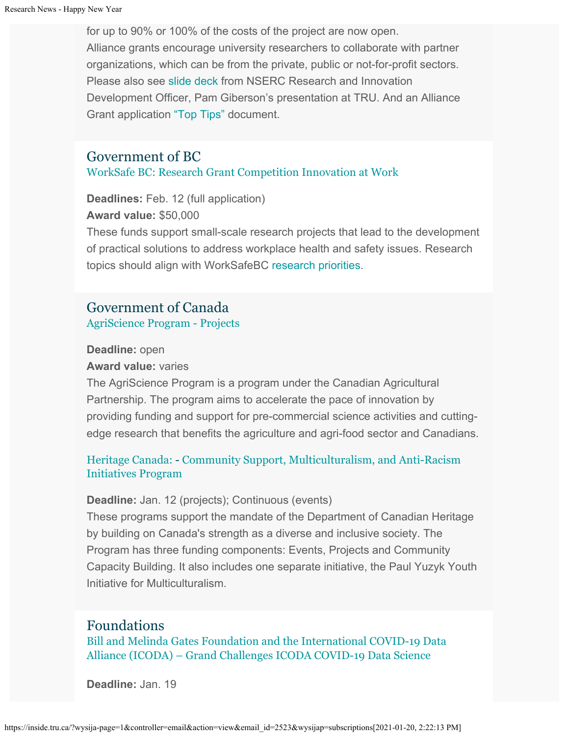for up to 90% or 100% of the costs of the project are now open. Alliance grants encourage university researchers to collaborate with partner organizations, which can be from the private, public or not-for-profit sectors. Please also see [slide deck](https://one.tru.ca/sites/rgs/ToolsandResources/_layouts/15/WopiFrame.aspx?sourcedoc=/sites/rgs/ToolsandResources/Shared%20Documents/NSERC_ALLIANCE.pptx&action=default) from NSERC Research and Innovation Development Officer, Pam Giberson's presentation at TRU. And an Alliance Grant application ["Top Tips"](https://one.tru.ca/sites/rgs/ToolsandResources/_layouts/15/WopiFrame.aspx?sourcedoc=/sites/rgs/ToolsandResources/Shared%20Documents/Alliance%20Grant%20-%20Top%20Tips%20EN%20%20FR.pdf&action=default) document.

## Government of BC

### [WorkSafe BC: Research Grant Competition Innovation at Work](https://www.worksafebc.com/en/about-us/research-services/funding-streams/innovation-at-work?utm_campaign=grant-awards&utm_source=e-news&utm_medium=email&utm_content=iaw-policy)

**Deadlines:** Feb. 12 (full application) **Award value:** \$50,000

These funds support small-scale research projects that lead to the development of practical solutions to address workplace health and safety issues. Research topics should align with WorkSafeBC [research priorities](http://trk.cp20.com/click/4bf-1jpr7b-lfqnxr-4t9kk3h6/).

## Government of Canada [AgriScience Program - Projects](http://www.agr.gc.ca/eng/programs-and-services/agriscience-program-projects/?id=1516993063537)

#### **Deadline:** open

#### **Award value:** varies

The AgriScience Program is a program under the Canadian Agricultural Partnership. The program aims to accelerate the pace of innovation by providing funding and support for pre-commercial science activities and cuttingedge research that benefits the agriculture and agri-food sector and Canadians.

## [Heritage Canada:](https://www.canada.ca/en/canadian-heritage/services/funding/community-multiculturalism-anti-racism.html) - [Community Support, Multiculturalism, and Anti-Racism](https://www.canada.ca/en/canadian-heritage/services/funding/community-multiculturalism-anti-racism.html) [Initiatives Program](https://www.canada.ca/en/canadian-heritage/services/funding/community-multiculturalism-anti-racism.html)

#### **Deadline:** Jan. 12 (projects); Continuous (events)

These programs support the mandate of the Department of Canadian Heritage by building on Canada's strength as a diverse and inclusive society. The Program has three funding components: Events, Projects and Community Capacity Building. It also includes one separate initiative, the Paul Yuzyk Youth Initiative for Multiculturalism.

## Foundations

[Bill and Melinda Gates Foundation and the International COVID-19 Data](https://icoda-research.org/research/our-research/%22%20%5Cl%20%22grandchallenge) [Alliance \(ICODA\) – Grand Challenges ICODA COVID-19 Data Science](https://icoda-research.org/research/our-research/%22%20%5Cl%20%22grandchallenge)

**Deadline:** Jan. 19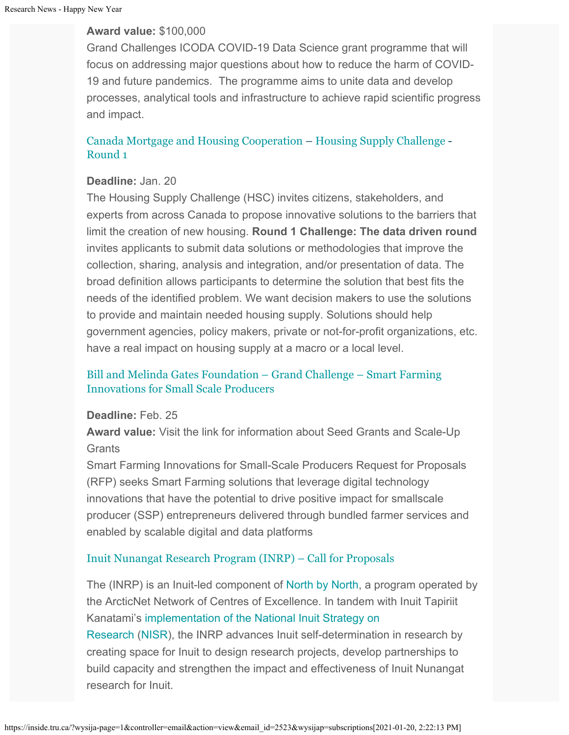### **Award value:** \$100,000

Grand Challenges ICODA COVID-19 Data Science grant programme that will focus on addressing major questions about how to reduce the harm of COVID-19 and future pandemics. The programme aims to unite data and develop processes, analytical tools and infrastructure to achieve rapid scientific progress and impact.

## [Canada Mortgage and Housing Cooperation](https://impact.canada.ca/en/challenges/housing-supply-challenge) – [Housing Supply Challenge](https://impact.canada.ca/en/challenges/housing-supply-challenge) - [Round 1](https://impact.canada.ca/en/challenges/housing-supply-challenge/process)

### **Deadline:** Jan. 20

The Housing Supply Challenge (HSC) invites citizens, stakeholders, and experts from across Canada to propose innovative solutions to the barriers that limit the creation of new housing. **Round 1 Challenge: The data driven round** invites applicants to submit data solutions or methodologies that improve the collection, sharing, analysis and integration, and/or presentation of data. The broad definition allows participants to determine the solution that best fits the needs of the identified problem. We want decision makers to use the solutions to provide and maintain needed housing supply. Solutions should help government agencies, policy makers, private or not-for-profit organizations, etc. have a real impact on housing supply at a macro or a local level.

### [Bill and Melinda Gates Foundation – Grand Challenge – Smart Farming](https://gcgh.grandchallenges.org/challenge/smart-farming-innovations-small-scale-producers) [Innovations for Small Scale Producers](https://gcgh.grandchallenges.org/challenge/smart-farming-innovations-small-scale-producers)

#### **Deadline:** Feb. 25

**Award value:** Visit the link for information about Seed Grants and Scale-Up **Grants** 

Smart Farming Innovations for Small-Scale Producers Request for Proposals (RFP) seeks Smart Farming solutions that leverage digital technology innovations that have the potential to drive positive impact for smallscale producer (SSP) entrepreneurs delivered through bundled farmer services and enabled by scalable digital and data platforms

### [Inuit Nunangat Research Program \(INRP\) – Call for Proposals](https://www.itk.ca/inuit-nunangat-research-program/)

The (INRP) is an Inuit-led component of [North by North](https://arcticnet.ulaval.ca/north-north), a program operated by the ArcticNet Network of Centres of Excellence. In tandem with Inuit Tapiriit Kanatami's [implementation of the National Inuit Strategy on](https://www.itk.ca/national-inuit-strategy-on-research-implementation-plan/) [Research](https://www.itk.ca/national-inuit-strategy-on-research-implementation-plan/) ([NISR\)](https://www.itk.ca/national-strategy-on-research/), the INRP advances Inuit self-determination in research by creating space for Inuit to design research projects, develop partnerships to build capacity and strengthen the impact and effectiveness of Inuit Nunangat research for Inuit.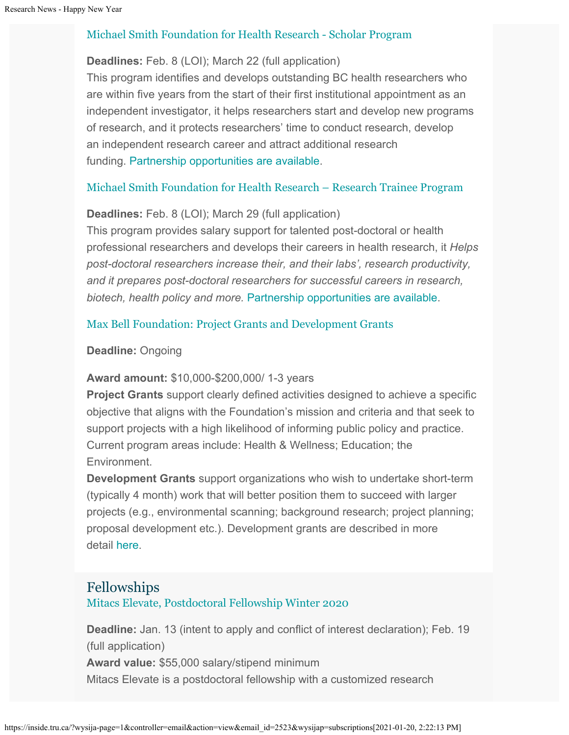### [Michael Smith Foundation for Health Research - Scholar Program](https://www.msfhr.org/our-work/activities/scholar-awards)

#### **Deadlines:** Feb. 8 (LOI); March 22 (full application)

This program identifies and develops outstanding BC health researchers who are within five years from the start of their first institutional appointment as an independent investigator, it helps researchers start and develop new programs of research, and it protects researchers' time to conduct research, develop an independent research career and attract additional research funding. [Partnership opportunities are available](https://www.msfhr.org/partners/prospective-partners#Scholar).

### [Michael Smith Foundation for Health Research – Research Trainee Program](https://www.msfhr.org/our-work/activities/trainee-awards%20)

### **Deadlines:** Feb. 8 (LOI); March 29 (full application)

This program provides salary support for talented post-doctoral or health professional researchers and develops their careers in health research, it *Helps post-doctoral researchers increase their, and their labs', research productivity, and it prepares post-doctoral researchers for successful careers in research, biotech, health policy and more.* [Partnership opportunities are available.](https://www.msfhr.org/partners/prospective-partners#Trainee%20awards)

### [Max Bell Foundation: Project Grants and Development Grants](https://maxbell.org/our-work/granting/types-programs/)

#### **Deadline:** Ongoing

#### **Award amount:** \$10,000-\$200,000/ 1-3 years

**Project Grants** support clearly defined activities designed to achieve a specific objective that aligns with the Foundation's mission and criteria and that seek to support projects with a high likelihood of informing public policy and practice. Current program areas include: Health & Wellness; Education; the Environment.

**Development Grants** support organizations who wish to undertake short-term (typically 4 month) work that will better position them to succeed with larger projects (e.g., environmental scanning; background research; project planning; proposal development etc.). Development grants are described in more detail [here](https://maxbell.org/our-work/types-programs/).

## Fellowships

[Mitacs Elevate, Postdoctoral Fellowship Winter 2020](https://www.mitacs.ca/en/programs/elevate#postdoc)

**Deadline:** Jan. 13 (intent to apply and conflict of interest declaration); Feb. 19 (full application) **Award value:** \$55,000 salary/stipend minimum

Mitacs Elevate is a postdoctoral fellowship with a customized research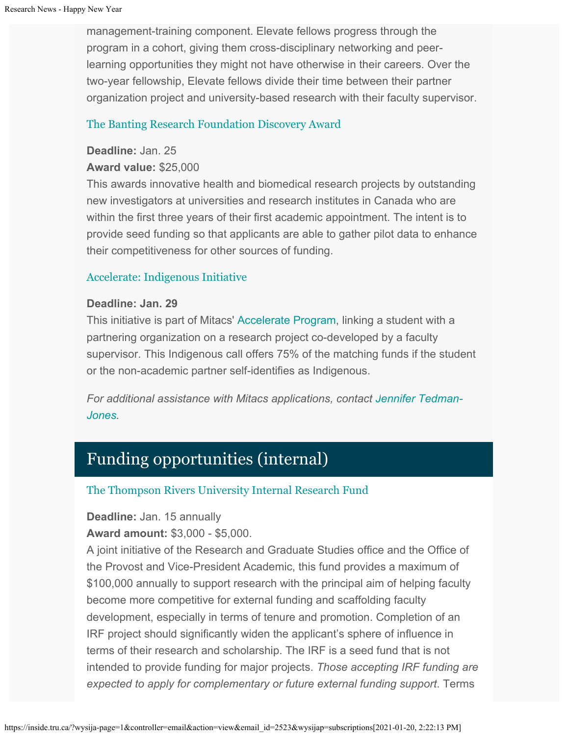management-training component. Elevate fellows progress through the program in a cohort, giving them cross-disciplinary networking and peerlearning opportunities they might not have otherwise in their careers. Over the two-year fellowship, Elevate fellows divide their time between their partner organization project and university-based research with their faculty supervisor.

#### [The Banting Research Foundation Discovery Award](http://www.bantingresearchfoundation.ca/discovery-award-program/)

#### **Deadline:** Jan. 25

### **Award value:** \$25,000

This awards innovative health and biomedical research projects by outstanding new investigators at universities and research institutes in Canada who are within the first three years of their first academic appointment. The intent is to provide seed funding so that applicants are able to gather pilot data to enhance their competitiveness for other sources of funding.

### [Accelerate: Indigenous Initiative](https://discover.mitacs.ca/indigenous/)

### **Deadline: Jan. 29**

This initiative is part of Mitacs' [Accelerate Program](https://www.mitacs.ca/en/programs/accelerate), linking a student with a partnering organization on a research project co-developed by a faculty supervisor. This Indigenous call offers 75% of the matching funds if the student or the non-academic partner self-identifies as Indigenous.

*For additional assistance with Mitacs applications, contact [Jennifer Tedman-](mailto:jtedman@mitacs.ca)[Jones](mailto:jtedman@mitacs.ca).*

# Funding opportunities (internal)

### [The Thompson Rivers University Internal Research Fund](https://tru.ca/research/research-services/research-services-faculty/faculty-research-funding/internal-opportunities.html)

### **Deadline:** Jan. 15 annually

### **Award amount:** \$3,000 - \$5,000.

A joint initiative of the Research and Graduate Studies office and the Office of the Provost and Vice-President Academic, this fund provides a maximum of \$100,000 annually to support research with the principal aim of helping faculty become more competitive for external funding and scaffolding faculty development, especially in terms of tenure and promotion. Completion of an IRF project should significantly widen the applicant's sphere of influence in terms of their research and scholarship. The IRF is a seed fund that is not intended to provide funding for major projects. *Those accepting IRF funding are expected to apply for complementary or future external funding support*. Terms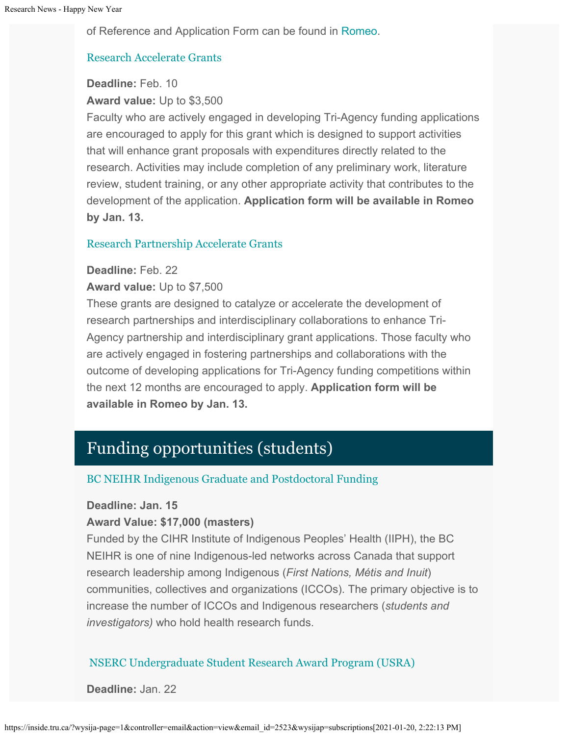of Reference and Application Form can be found in [Romeo](https://tru.researchservicesoffice.com/Romeo.Researcher/Login.aspx?ReturnUrl=/ROMEO.Researcher/default.aspx).

### [Research Accelerate Grants](https://www.tru.ca/__shared/assets/research-accelerate-grant52860.pdf)

#### **Deadline:** Feb. 10

**Award value:** Up to \$3,500

Faculty who are actively engaged in developing Tri-Agency funding applications are encouraged to apply for this grant which is designed to support activities that will enhance grant proposals with expenditures directly related to the research. Activities may include completion of any preliminary work, literature review, student training, or any other appropriate activity that contributes to the development of the application. **Application form will be available in Romeo by Jan. 13.**

### [Research Partnership Accelerate Grants](https://www.tru.ca/__shared/assets/research-partnership-accelerate-grant52861.pdf)

### **Deadline:** Feb. 22

**Award value:** Up to \$7,500

These grants are designed to catalyze or accelerate the development of research partnerships and interdisciplinary collaborations to enhance Tri-Agency partnership and interdisciplinary grant applications. Those faculty who are actively engaged in fostering partnerships and collaborations with the outcome of developing applications for Tri-Agency funding competitions within the next 12 months are encouraged to apply. **Application form will be available in Romeo by Jan. 13.**

# Funding opportunities (students)

### [BC NEIHR Indigenous Graduate and Postdoctoral Funding](https://onlineacademiccommunity.uvic.ca/bcneihr/)

#### **Deadline: Jan. 15**

#### **Award Value: \$17,000 (masters)**

Funded by the CIHR Institute of Indigenous Peoples' Health (IIPH), the BC NEIHR is one of nine Indigenous-led networks across Canada that support research leadership among Indigenous (*First Nations, Métis and Inuit*) communities, collectives and organizations (ICCOs). The primary objective is to increase the number of ICCOs and Indigenous researchers (*students and investigators)* who hold health research funds.

### [NSERC Undergraduate Student Research Award Program \(USRA\)](https://tru.ca/research/undergraduate-research/undergraduate-research-opportunities.html)

**Deadline:** Jan. 22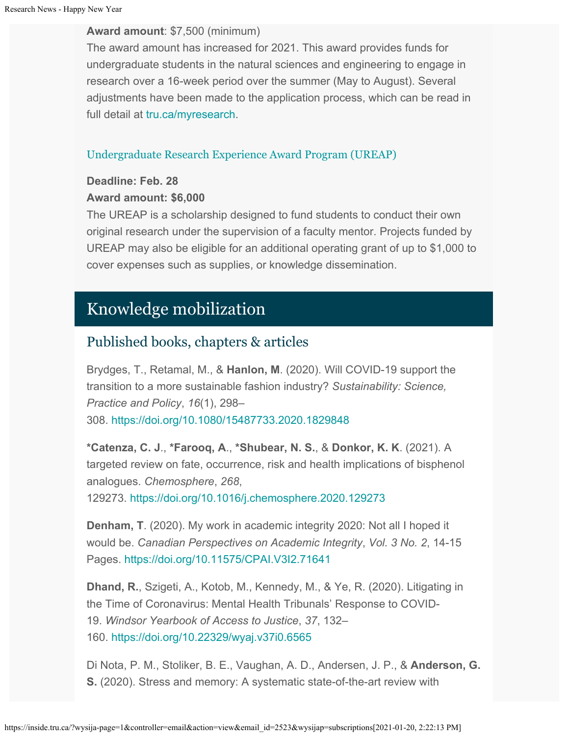#### **Award amount**: \$7,500 (minimum)

The award amount has increased for 2021. This award provides funds for undergraduate students in the natural sciences and engineering to engage in research over a 16-week period over the summer (May to August). Several adjustments have been made to the application process, which can be read in full detail at [tru.ca/myresearch](https://tru.ca/research/undergraduate-research/undergraduate-research-opportunities.html).

## [Undergraduate Research Experience Award Program \(UREAP\)](https://www.tru.ca/research/undergraduate-research/undergraduate-research-opportunities/ureap-award.html)

### **Deadline: Feb. 28**

### **Award amount: \$6,000**

The UREAP is a scholarship designed to fund students to conduct their own original research under the supervision of a faculty mentor. Projects funded by UREAP may also be eligible for an additional operating grant of up to \$1,000 to cover expenses such as supplies, or knowledge dissemination.

# Knowledge mobilization

## Published books, chapters & articles

Brydges, T., Retamal, M., & **Hanlon, M**. (2020). Will COVID-19 support the transition to a more sustainable fashion industry? *Sustainability: Science, Practice and Policy*, *16*(1), 298– 308. <https://doi.org/10.1080/15487733.2020.1829848>

**\*Catenza, C. J**., **\*Farooq, A**., **\*Shubear, N. S.**, & **Donkor, K. K**. (2021). A targeted review on fate, occurrence, risk and health implications of bisphenol analogues. *Chemosphere*, *268*, 129273. <https://doi.org/10.1016/j.chemosphere.2020.129273>

**Denham, T**. (2020). My work in academic integrity 2020: Not all I hoped it would be. *Canadian Perspectives on Academic Integrity*, *Vol. 3 No. 2*, 14-15 Pages. <https://doi.org/10.11575/CPAI.V3I2.71641>

**Dhand, R.**, Szigeti, A., Kotob, M., Kennedy, M., & Ye, R. (2020). Litigating in the Time of Coronavirus: Mental Health Tribunals' Response to COVID-19. *Windsor Yearbook of Access to Justice*, *37*, 132– 160. <https://doi.org/10.22329/wyaj.v37i0.6565>

Di Nota, P. M., Stoliker, B. E., Vaughan, A. D., Andersen, J. P., & **Anderson, G. S.** (2020). Stress and memory: A systematic state-of-the-art review with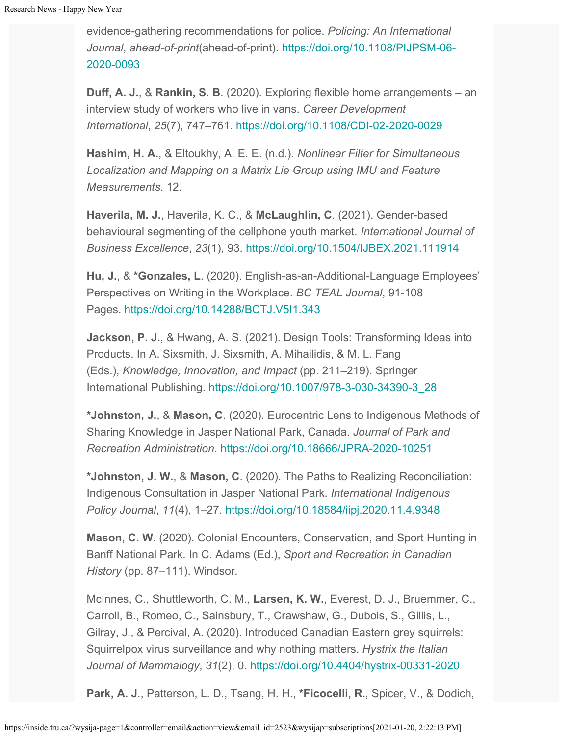evidence-gathering recommendations for police. *Policing: An International Journal*, *ahead-of-print*(ahead-of-print). [https://doi.org/10.1108/PIJPSM-06-](https://doi.org/10.1108/PIJPSM-06-2020-0093) [2020-0093](https://doi.org/10.1108/PIJPSM-06-2020-0093)

**Duff, A. J.**, & **Rankin, S. B**. (2020). Exploring flexible home arrangements – an interview study of workers who live in vans. *Career Development International*, *25*(7), 747–761. <https://doi.org/10.1108/CDI-02-2020-0029>

**Hashim, H. A.**, & Eltoukhy, A. E. E. (n.d.). *Nonlinear Filter for Simultaneous Localization and Mapping on a Matrix Lie Group using IMU and Feature Measurements*. 12.

**Haverila, M. J.**, Haverila, K. C., & **McLaughlin, C**. (2021). Gender-based behavioural segmenting of the cellphone youth market. *International Journal of Business Excellence*, *23*(1), 93. <https://doi.org/10.1504/IJBEX.2021.111914>

**Hu, J.**, & **\*Gonzales, L**. (2020). English-as-an-Additional-Language Employees' Perspectives on Writing in the Workplace. *BC TEAL Journal*, 91-108 Pages. <https://doi.org/10.14288/BCTJ.V5I1.343>

**Jackson, P. J.**, & Hwang, A. S. (2021). Design Tools: Transforming Ideas into Products. In A. Sixsmith, J. Sixsmith, A. Mihailidis, & M. L. Fang (Eds.), *Knowledge, Innovation, and Impact* (pp. 211–219). Springer International Publishing. [https://doi.org/10.1007/978-3-030-34390-3\\_28](https://doi.org/10.1007/978-3-030-34390-3_28)

**\*Johnston, J.**, & **Mason, C**. (2020). Eurocentric Lens to Indigenous Methods of Sharing Knowledge in Jasper National Park, Canada. *Journal of Park and Recreation Administration*. <https://doi.org/10.18666/JPRA-2020-10251>

**\*Johnston, J. W.**, & **Mason, C**. (2020). The Paths to Realizing Reconciliation: Indigenous Consultation in Jasper National Park. *International Indigenous Policy Journal*, *11*(4), 1–27. <https://doi.org/10.18584/iipj.2020.11.4.9348>

**Mason, C. W**. (2020). Colonial Encounters, Conservation, and Sport Hunting in Banff National Park. In C. Adams (Ed.), *Sport and Recreation in Canadian History* (pp. 87–111). Windsor.

McInnes, C., Shuttleworth, C. M., **Larsen, K. W.**, Everest, D. J., Bruemmer, C., Carroll, B., Romeo, C., Sainsbury, T., Crawshaw, G., Dubois, S., Gillis, L., Gilray, J., & Percival, A. (2020). Introduced Canadian Eastern grey squirrels: Squirrelpox virus surveillance and why nothing matters. *Hystrix the Italian Journal of Mammalogy*, *31*(2), 0. <https://doi.org/10.4404/hystrix-00331-2020>

**Park, A. J**., Patterson, L. D., Tsang, H. H., **\*Ficocelli, R.**, Spicer, V., & Dodich,